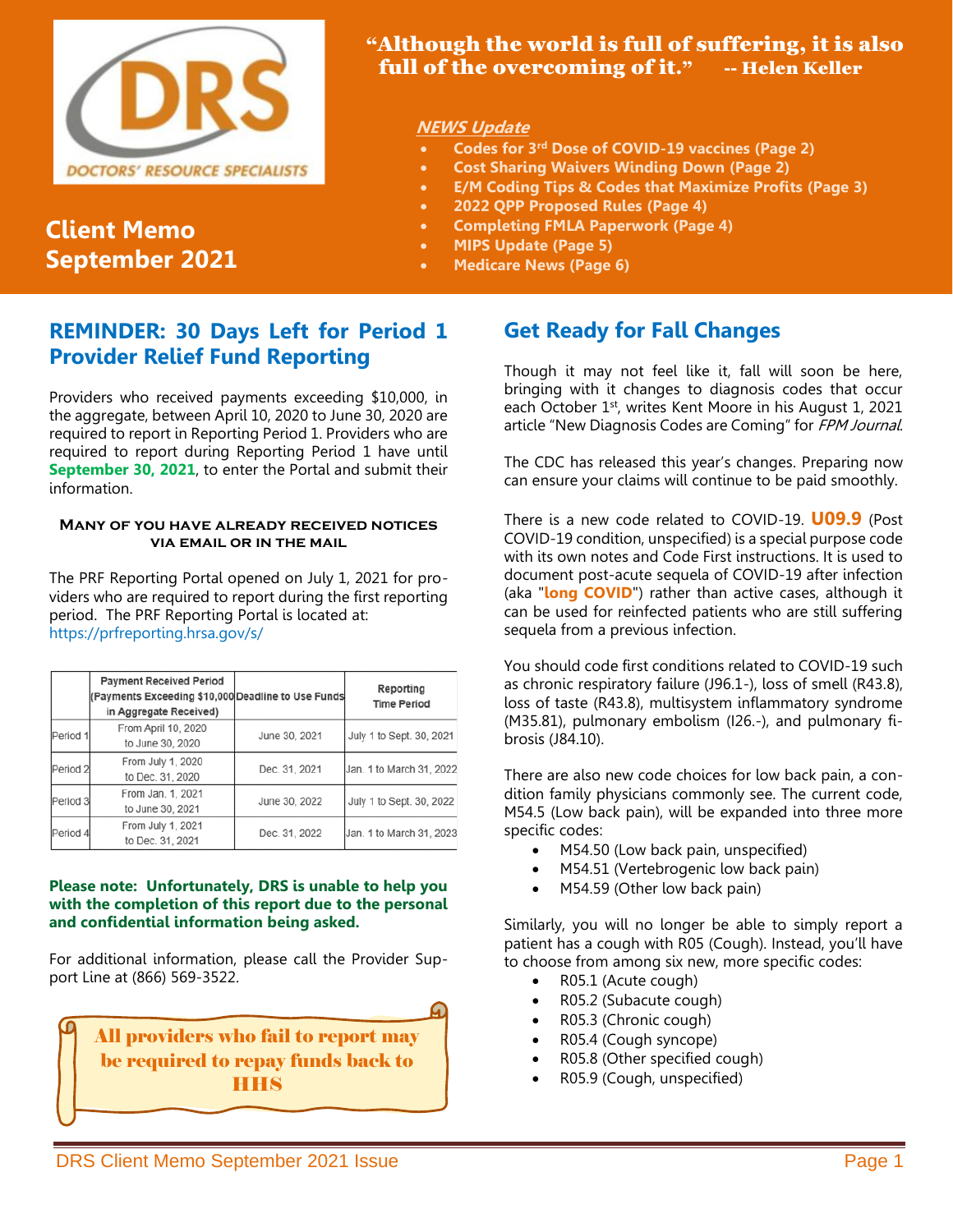

# **Client Memo September 2021**

## "Although the world is full of suffering, it is also full of the overcoming of it." -- Helen Keller

## **NEWS Update**

- **Codes for 3rd Dose of COVID-19 vaccines (Page 2)**
- **Cost Sharing Waivers Winding Down (Page 2)**
- **E/M Coding Tips & Codes that Maximize Profits (Page 3)**
- **2022 QPP Proposed Rules (Page 4)**
	- **Completing FMLA Paperwork (Page 4)**
- **MIPS Update (Page 5)**
- **Medicare News (Page 6)**

# **REMINDER: 30 Days Left for Period 1 Provider Relief Fund Reporting**

Providers who received payments exceeding \$10,000, in the aggregate, between April 10, 2020 to June 30, 2020 are required to report in Reporting Period 1. Providers who are required to report during Reporting Period 1 have until **September 30, 2021**, to enter the Portal and submit their information.

### **Many of you have already received notices via email or in the mail**

The PRF Reporting Portal opened on July 1, 2021 for providers who are required to report during the first reporting period. The PRF Reporting Portal is located at: https://prfreporting.hrsa.gov/s/

|                     | <b>Payment Received Period</b><br>(Payments Exceeding \$10,000 Deadline to Use Funds<br>in Aggregate Received) |               | Reporting<br><b>Time Period</b> |
|---------------------|----------------------------------------------------------------------------------------------------------------|---------------|---------------------------------|
| Period 1            | From April 10, 2020<br>to June 30, 2020                                                                        | June 30, 2021 | July 1 to Sept. 30, 2021        |
| Period <sub>2</sub> | From July 1, 2020<br>to Dec. 31, 2020                                                                          | Dec. 31, 2021 | Jan. 1 to March 31, 2022        |
| Period 3            | From Jan. 1, 2021<br>to June 30, 2021                                                                          | June 30, 2022 | July 1 to Sept. 30, 2022        |
| Period 4            | From July 1, 2021<br>to Dec. 31, 2021                                                                          | Dec. 31, 2022 | Jan. 1 to March 31, 2023        |

### **Please note: Unfortunately, DRS is unable to help you with the completion of this report due to the personal and confidential information being asked.**

For additional information, please call the Provider Support Line at (866) 569-3522.



# **Get Ready for Fall Changes**

Though it may not feel like it, fall will soon be here, bringing with it changes to diagnosis codes that occur each October 1<sup>st</sup>, writes Kent Moore in his August 1, 2021 article "New Diagnosis Codes are Coming" for FPM Journal.

The CDC has released this year's changes. Preparing now can ensure your claims will continue to be paid smoothly.

There is a new code related to COVID-19. **U09.9** (Post COVID-19 condition, unspecified) is a special purpose code with its own notes and Code First instructions. It is used to document post-acute sequela of COVID-19 after infection (aka "**long COVID**") rather than active cases, although it can be used for reinfected patients who are still suffering sequela from a previous infection.

You should code first conditions related to COVID-19 such as chronic respiratory failure (J96.1-), loss of smell (R43.8), loss of taste (R43.8), multisystem inflammatory syndrome (M35.81), pulmonary embolism (I26.-), and pulmonary fibrosis (J84.10).

There are also new code choices for low back pain, a condition family physicians commonly see. The current code, M54.5 (Low back pain), will be expanded into three more specific codes:

- M54.50 (Low back pain, unspecified)
- M54.51 (Vertebrogenic low back pain)
- M54.59 (Other low back pain)

Similarly, you will no longer be able to simply report a patient has a cough with R05 (Cough). Instead, you'll have to choose from among six new, more specific codes:

- R05.1 (Acute cough)
- R05.2 (Subacute cough)
- R05.3 (Chronic cough)
- R05.4 (Cough syncope)
- R05.8 (Other specified cough)
- R05.9 (Cough, unspecified)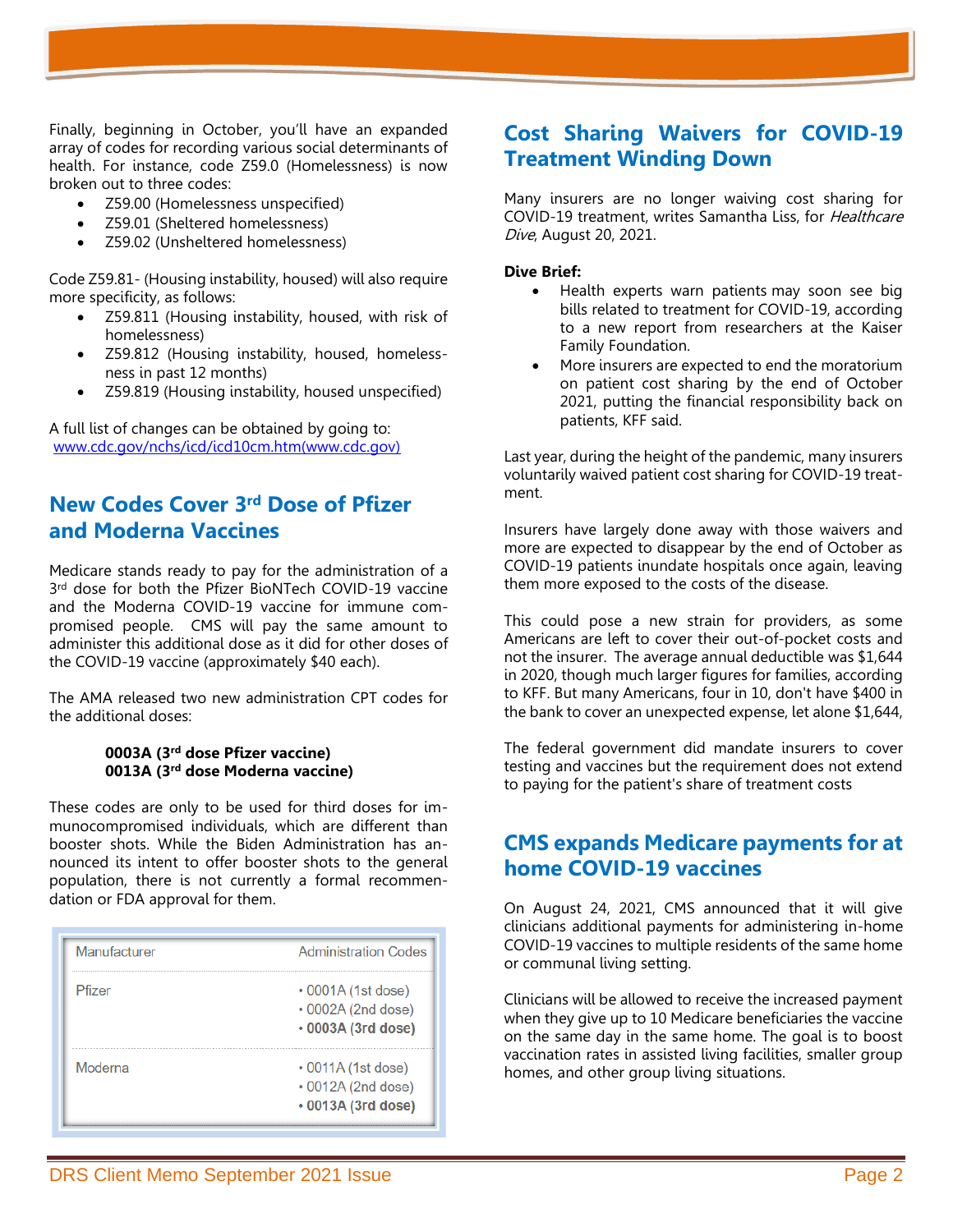Finally, beginning in October, you'll have an expanded array of codes for recording various social determinants of health. For instance, code Z59.0 (Homelessness) is now broken out to three codes:

- Z59.00 (Homelessness unspecified)
- Z59.01 (Sheltered homelessness)
- Z59.02 (Unsheltered homelessness)

Code Z59.81- (Housing instability, housed) will also require more specificity, as follows:

- Z59.811 (Housing instability, housed, with risk of homelessness)
- Z59.812 (Housing instability, housed, homelessness in past 12 months)
- Z59.819 (Housing instability, housed unspecified)

A full list of changes can be obtained by going to: [www.cdc.gov/nchs/icd/icd10cm.htm\(www.cdc.gov\)](http://www.cdc.gov/nchs/icd/icd10cm.htm)

## **New Codes Cover 3rd Dose of Pfizer and Moderna Vaccines**

Medicare stands ready to pay for the administration of a 3<sup>rd</sup> dose for both the Pfizer BioNTech COVID-19 vaccine and the Moderna COVID-19 vaccine for immune compromised people. CMS will pay the same amount to administer this additional dose as it did for other doses of the COVID-19 vaccine (approximately \$40 each).

The AMA released two new administration CPT codes for the additional doses:

#### **0003A (3rd dose Pfizer vaccine) 0013A (3rd dose Moderna vaccine)**

These codes are only to be used for third doses for immunocompromised individuals, which are different than booster shots. While the Biden Administration has announced its intent to offer booster shots to the general population, there is not currently a formal recommendation or FDA approval for them.

| Manufacturer | <b>Administration Codes</b>                                          |
|--------------|----------------------------------------------------------------------|
| Pfizer       | $\cdot$ 0001A (1st dose)<br>• 0002A (2nd dose)<br>• 0003A (3rd dose) |
| Moderna      | • 0011A (1st dose)<br>• 0012A (2nd dose)<br>• 0013A (3rd dose)       |

## **Cost Sharing Waivers for COVID-19 Treatment Winding Down**

Many insurers are no longer waiving cost sharing for COVID-19 treatment, writes Samantha Liss, for Healthcare Dive, August 20, 2021.

#### **Dive Brief:**

- Health experts warn patients [may soon see big](http://www.healthsystemtracker.org/brief/most-private-insurers-are-no-longer-waiving-cost-sharing-for-covid-19-treatment/)  [bills](http://www.healthsystemtracker.org/brief/most-private-insurers-are-no-longer-waiving-cost-sharing-for-covid-19-treatment/) related to treatment for COVID-19, according to a new report from researchers at the Kaiser Family Foundation.
- More insurers are expected to end the moratorium on patient cost sharing by the end of October 2021, putting the financial responsibility back on patients, KFF said.

Last year, during the height of the pandemic, many insurers voluntarily waived patient cost sharing for COVID-19 treatment.

Insurers have largely done away with those waivers and more are expected to disappear by the end of October as COVID-19 patients inundate hospitals once again, leaving them more exposed to the costs of the disease.

This could pose a new strain for providers, as some Americans are left to cover their out-of-pocket costs and not the insurer. The [average annual deductible](https://www.kff.org/report-section/ehbs-2020-section-7-employee-cost-sharing/) was \$1,644 in 2020, though much larger figures for families, according to KFF. But many Americans, four in 10, don't have \$400 in the bank to cover an unexpected expense, let alone \$1,644,

The federal government did mandate insurers to cover testing and vaccines but the requirement does not extend to paying for the patient's share of treatment costs

## **CMS expands Medicare payments for at home COVID-19 vaccines**

On August 24, 2021, CMS announced that it will give clinicians additional payments for administering in-home COVID-19 vaccines to multiple residents of the same home or communal living setting.

Clinicians will be allowed to receive the increased payment when they give up to 10 Medicare beneficiaries the vaccine on the same day in the same home. The goal is to boost vaccination rates in assisted living facilities, smaller group homes, and other group living situations.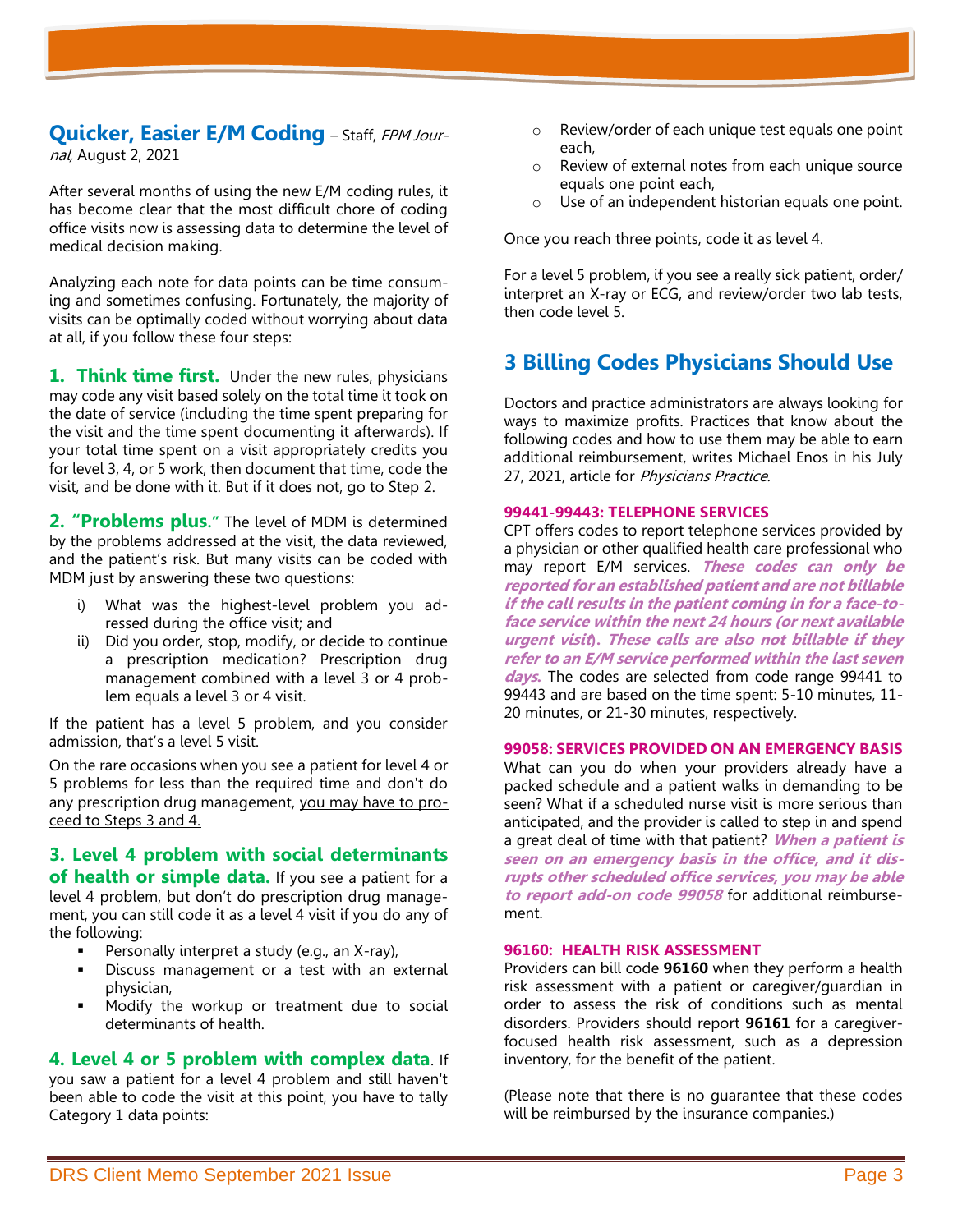### **Quicker, Easier E/M Coding** – Staff, FPM Journal, August 2, 2021

After several months of using the new E/M coding rules, it has become clear that the most difficult chore of coding office visits now is assessing data to determine the level of medical decision making.

Analyzing each note for data points can be time consuming and sometimes confusing. Fortunately, the majority of visits can be optimally coded without worrying about data at all, if you follow these four steps:

**1. Think time first.** Under the new rules, physicians may code any visit based solely on the total time it took on the date of service (including the time spent preparing for the visit and the time spent documenting it afterwards). If your total time spent on a visit appropriately credits you for level 3, 4, or 5 work, then document that time, code the visit, and be done with it. But if it does not, go to Step 2.

**2. "Problems plus."** The level of MDM is determined by the problems addressed at the visit, the data reviewed, and the patient's risk. But many visits can be coded with MDM just by answering these two questions:

- i) What was the highest-level problem you adressed during the office visit; and
- ii) Did you order, stop, modify, or decide to continue a prescription medication? Prescription drug management combined with a level 3 or 4 problem equals a level 3 or 4 visit.

If the patient has a level 5 problem, and you consider admission, that's a level 5 visit.

On the rare occasions when you see a patient for level 4 or 5 problems for less than the required time and don't do any prescription drug management, you may have to proceed to Steps 3 and 4.

**3. Level 4 problem with social determinants of health or simple data.** If you see a patient for a level 4 problem, but don't do prescription drug management, you can still code it as a level 4 visit if you do any of the following:

- **•** Personally interpret a study (e.g., an  $X$ -ray),
- Discuss management or a test with an external physician,
- Modify the workup or treatment due to social determinants of health.

## **4. Level 4 or 5 problem with complex data**. If

you saw a patient for a level 4 problem and still haven't been able to code the visit at this point, you have to tally Category 1 data points:

- o Review/order of each unique test equals one point each,
- o Review of external notes from each unique source equals one point each,
- o Use of an independent historian equals one point.

Once you reach three points, code it as level 4.

For a level 5 problem, if you see a really sick patient, order/ interpret an X-ray or ECG, and review/order two lab tests, then code level 5.

# **3 Billing Codes Physicians Should Use**

Doctors and practice administrators are always looking for ways to maximize profits. Practices that know about the following codes and how to use them may be able to earn additional reimbursement, writes Michael Enos in his July 27, 2021, article for Physicians Practice.

#### **99441-99443: TELEPHONE SERVICES**

CPT offers codes to report telephone services provided by a physician or other qualified health care professional who may report E/M services. **These codes can only be reported for an established patient and are not billable if the call results in the patient coming in for a face-toface service within the next 24 hours (or next available urgent visit). These calls are also not billable if they refer to an E/M service performed within the last seven days.** The codes are selected from code range 99441 to 99443 and are based on the time spent: 5-10 minutes, 11- 20 minutes, or 21-30 minutes, respectively.

#### **99058: SERVICES PROVIDED ON AN EMERGENCY BASIS**

What can you do when your providers already have a packed schedule and a patient walks in demanding to be seen? What if a scheduled nurse visit is more serious than anticipated, and the provider is called to step in and spend a great deal of time with that patient? **When a patient is seen on an emergency basis in the office, and it disrupts other scheduled office services, you may be able to report add-on code 99058** for additional reimbursement.

#### **96160: HEALTH RISK ASSESSMENT**

Providers can bill code **96160** when they perform a health risk assessment with a patient or caregiver/guardian in order to assess the risk of conditions such as mental disorders. Providers should report **96161** for a caregiverfocused health risk assessment, such as a depression inventory, for the benefit of the patient.

(Please note that there is no guarantee that these codes will be reimbursed by the insurance companies.)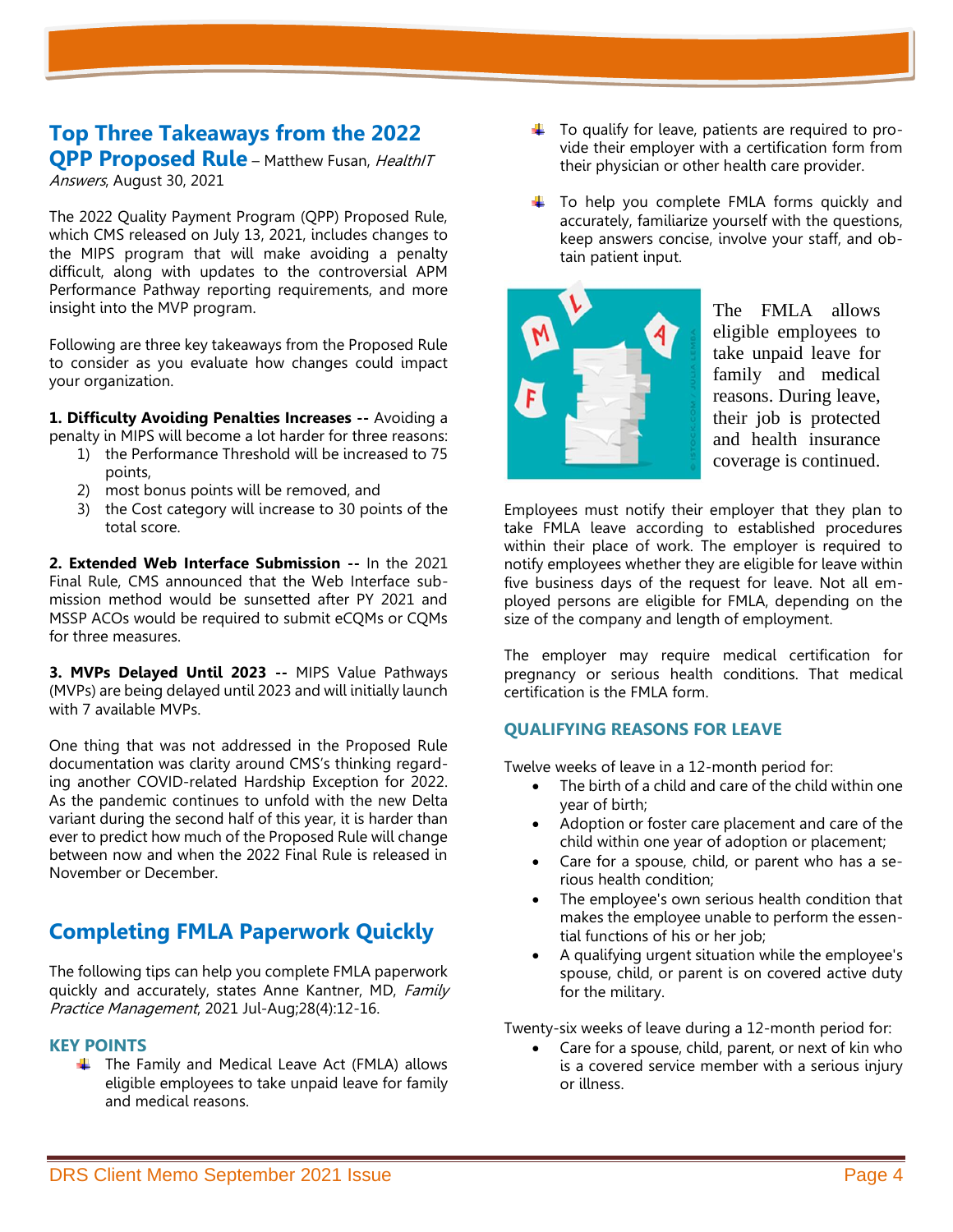# **Top Three Takeaways from the 2022 QPP Proposed Rule** – Matthew Fusan, HealthIT

Answers, August 30, 2021

The 2022 Quality Payment Program (QPP) Proposed Rule, which CMS released on July 13, 2021, includes changes to the MIPS program that will make avoiding a penalty difficult, along with updates to the controversial APM Performance Pathway reporting requirements, and more insight into the MVP program.

Following are three key takeaways from the Proposed Rule to consider as you evaluate how changes could impact your organization.

**1. Difficulty Avoiding Penalties Increases --** Avoiding a penalty in MIPS will become a lot harder for three reasons:

- 1) the Performance Threshold will be increased to 75 points,
- 2) most bonus points will be removed, and
- 3) the Cost category will increase to 30 points of the total score.

**2. Extended Web Interface Submission --** In the 2021 Final Rule, CMS announced that the Web Interface submission method would be sunsetted after PY 2021 and MSSP ACOs would be required to submit eCQMs or CQMs for three measures.

**3. MVPs Delayed Until 2023 --** MIPS Value Pathways (MVPs) are being delayed until 2023 and will initially launch with 7 available MVPs.

One thing that was not addressed in the Proposed Rule documentation was clarity around CMS's thinking regarding another COVID-related Hardship Exception for 2022. As the pandemic continues to unfold with the new Delta variant during the second half of this year, it is harder than ever to predict how much of the Proposed Rule will change between now and when the 2022 Final Rule is released in November or December.

# **Completing FMLA Paperwork Quickly**

The following tips can help you complete FMLA paperwork quickly and accurately, states Anne Kantner, MD, Family Practice Management, 2021 Jul-Aug;28(4):12-16.

### **KEY POINTS**

 $\ddotplus$  The Family and Medical Leave Act (FMLA) allows eligible employees to take unpaid leave for family and medical reasons.

- $\ddot{\phantom{1}}$  To qualify for leave, patients are required to provide their employer with a certification form from their physician or other health care provider.
- $\ddotplus$  To help you complete FMLA forms quickly and accurately, familiarize yourself with the questions, keep answers concise, involve your staff, and obtain patient input.



The FMLA allows eligible employees to take unpaid leave for family and medical reasons. During leave, their job is protected and health insurance coverage is continued.

Employees must notify their employer that they plan to take FMLA leave according to established procedures within their place of work. The employer is required to notify employees whether they are eligible for leave within five business days of the request for leave. Not all employed persons are eligible for FMLA, depending on the size of the company and length of employment.

The employer may require medical certification for pregnancy or serious health conditions. That medical certification is the FMLA form.

## **QUALIFYING REASONS FOR LEAVE**

Twelve weeks of leave in a 12-month period for:

- The birth of a child and care of the child within one year of birth;
- Adoption or foster care placement and care of the child within one year of adoption or placement;
- Care for a spouse, child, or parent who has a serious health condition;
- The employee's own serious health condition that makes the employee unable to perform the essential functions of his or her job;
- A qualifying urgent situation while the employee's spouse, child, or parent is on covered active duty for the military.

Twenty-six weeks of leave during a 12-month period for:

Care for a spouse, child, parent, or next of kin who is a covered service member with a serious injury or illness.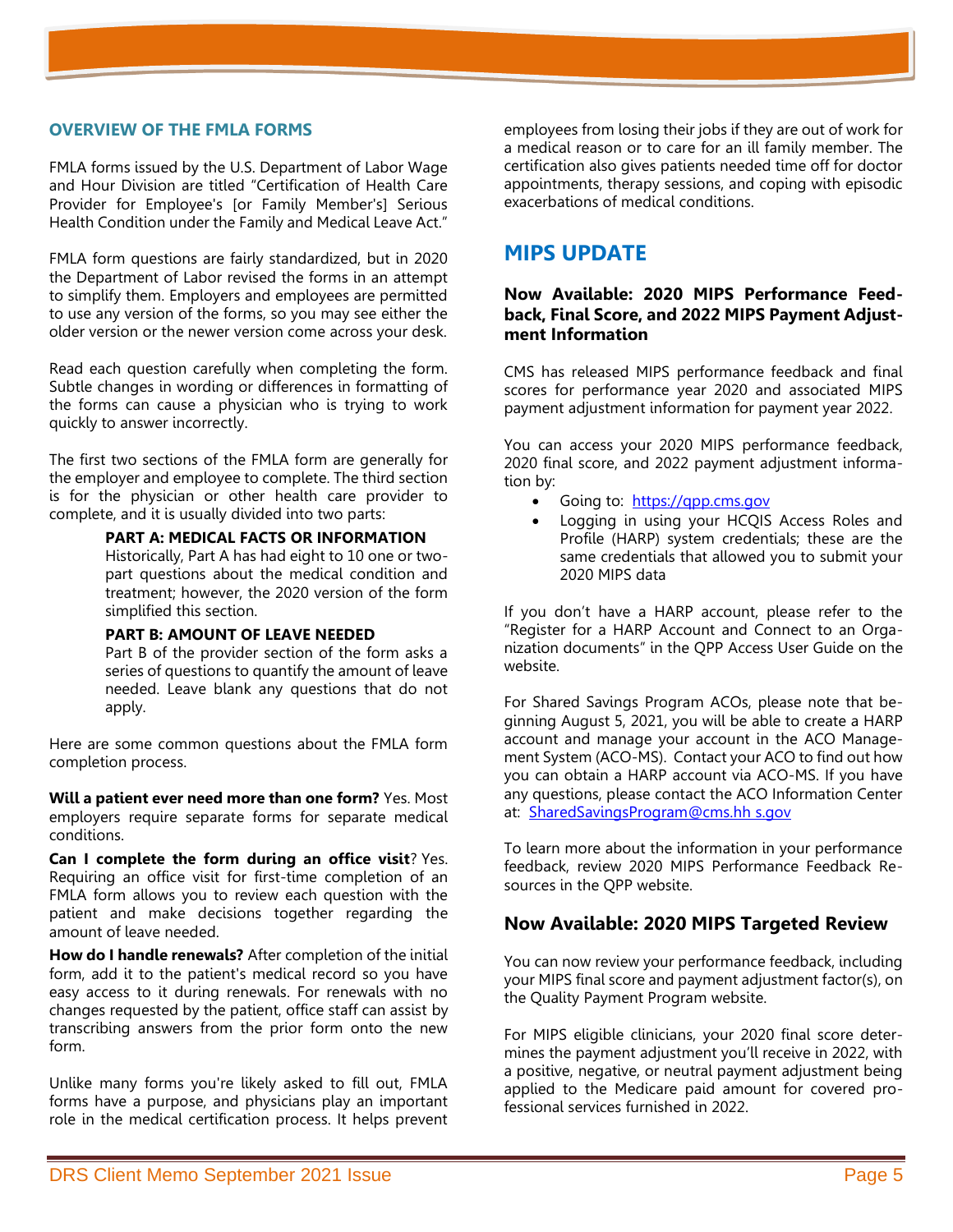FMLA forms issued by the U.S. Department of Labor Wage and Hour Division are titled "Certification of Health Care Provider for Employee's [or Family Member's] Serious Health Condition under the Family and Medical Leave Act."

FMLA form questions are fairly standardized, but in 2020 the Department of Labor revised the forms in an attempt to simplify them. Employers and employees are permitted to use any version of the forms, so you may see either the older version or the newer version come across your desk.

Read each question carefully when completing the form. Subtle changes in wording or differences in formatting of the forms can cause a physician who is trying to work quickly to answer incorrectly.

The first two sections of the FMLA form are generally for the employer and employee to complete. The third section is for the physician or other health care provider to complete, and it is usually divided into two parts:

> **PART A: MEDICAL FACTS OR INFORMATION** Historically, Part A has had eight to 10 one or twopart questions about the medical condition and treatment; however, the 2020 version of the form

#### **PART B: AMOUNT OF LEAVE NEEDED**

simplified this section.

Part B of the provider section of the form asks a series of questions to quantify the amount of leave needed. Leave blank any questions that do not apply.

Here are some common questions about the FMLA form completion process.

**Will a patient ever need more than one form?** Yes. Most employers require separate forms for separate medical conditions.

**Can I complete the form during an office visit**? Yes. Requiring an office visit for first-time completion of an FMLA form allows you to review each question with the patient and make decisions together regarding the amount of leave needed.

**How do I handle renewals?** After completion of the initial form, add it to the patient's medical record so you have easy access to it during renewals. For renewals with no changes requested by the patient, office staff can assist by transcribing answers from the prior form onto the new form.

Unlike many forms you're likely asked to fill out, FMLA forms have a purpose, and physicians play an important role in the medical certification process. It helps prevent employees from losing their jobs if they are out of work for a medical reason or to care for an ill family member. The certification also gives patients needed time off for doctor appointments, therapy sessions, and coping with episodic exacerbations of medical conditions.

## **MIPS UPDATE**

## **Now Available: 2020 MIPS Performance Feedback, Final Score, and 2022 MIPS Payment Adjustment Information**

CMS has released MIPS performance feedback and final scores for performance year 2020 and associated MIPS payment adjustment information for payment year 2022.

You can access your 2020 MIPS performance feedback, 2020 final score, and 2022 payment adjustment information by:

- Going to: https://gpp.cms.gov
- Logging in using your HCQIS Access Roles and Profile (HARP) system credentials; these are the same credentials that allowed you to submit your 2020 MIPS data

If you don't have a HARP account, please refer to the "Register for a HARP Account and Connect to an Organization documents" in the [QPP Access User Guide](https://lnks.gd/l/eyJhbGciOiJIUzI1NiJ9.eyJidWxsZXRpbl9saW5rX2lkIjoxMDIsInVyaSI6ImJwMjpjbGljayIsImJ1bGxldGluX2lkIjoiMjAyMTA4MDMuNDQwNzExMDEiLCJ1cmwiOiJodHRwczovL3FwcC1jbS1wcm9kLWNvbnRlbnQuczMuYW1hem9uYXdzLmNvbS91cGxvYWRzLzMzNS9RUFAlMkJBY2Nlc3MlMkJVc2VyJTJCR3VpZGUuemlwIn0.dTd5iqixX0MTuq_e6cwVTBM7ED_aA924b8lyHzaoo2E/s/148356598/br/110330061965-l) on the website.

For Shared Savings Program ACOs, please note that beginning August 5, 2021, you will be able to create a HARP account and manage your account in the [ACO Manage](https://lnks.gd/l/eyJhbGciOiJIUzI1NiJ9.eyJidWxsZXRpbl9saW5rX2lkIjoxMDMsInVyaSI6ImJwMjpjbGljayIsImJ1bGxldGluX2lkIjoiMjAyMTA4MDMuNDQwNzExMDEiLCJ1cmwiOiJodHRwczovL2Fjb21zLmNtcy5nb3YvIn0.nbHLC_fc-jVjtiLXZAoPucHECwbP4zZn-5LMRu8Wscw/s/148356598/br/110330061965-l)[ment System \(ACO-MS\).](https://lnks.gd/l/eyJhbGciOiJIUzI1NiJ9.eyJidWxsZXRpbl9saW5rX2lkIjoxMDMsInVyaSI6ImJwMjpjbGljayIsImJ1bGxldGluX2lkIjoiMjAyMTA4MDMuNDQwNzExMDEiLCJ1cmwiOiJodHRwczovL2Fjb21zLmNtcy5nb3YvIn0.nbHLC_fc-jVjtiLXZAoPucHECwbP4zZn-5LMRu8Wscw/s/148356598/br/110330061965-l) Contact your ACO to find out how you can obtain a HARP account via ACO-MS. If you have any questions, please contact the ACO Information Center at: [SharedSavingsProgram@cms.hh](mailto:SharedSavingsProgram@cms.hh%20s.gov) s.gov

To learn more about the information in your performance feedback, review 2020 MIPS Performance Feedback Resources in the QPP website.

## **Now Available: 2020 MIPS Targeted Review**

You can now review your performance feedback, including your MIPS final score and payment adjustment factor(s), on the Quality Payment Program website.

For MIPS eligible clinicians, your 2020 final score determines the payment adjustment you'll receive in 2022, with a positive, negative, or neutral payment adjustment being applied to the Medicare paid amount for covered professional services furnished in 2022.